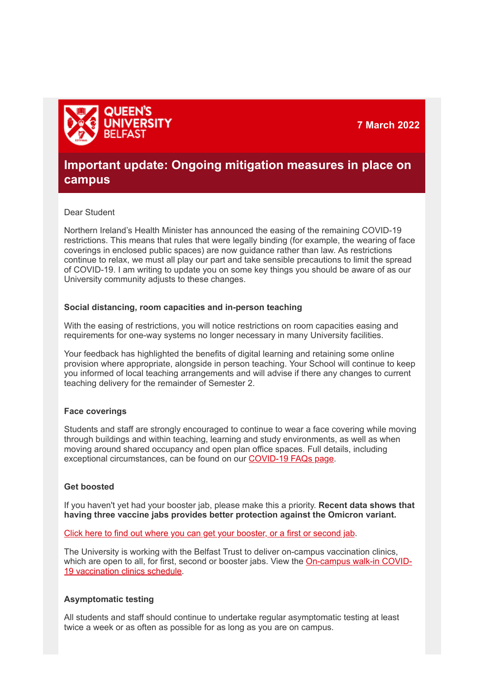**7 March 2022**



# **Important update: Ongoing mitigation measures in place on campus**

#### Dear Student

Northern Ireland's Health Minister has announced the easing of the remaining COVID-19 restrictions. This means that rules that were legally binding (for example, the wearing of face coverings in enclosed public spaces) are now guidance rather than law. As restrictions continue to relax, we must all play our part and take sensible precautions to limit the spread of COVID-19. I am writing to update you on some key things you should be aware of as our University community adjusts to these changes.

# **Social distancing, room capacities and in-person teaching**

With the easing of restrictions, you will notice restrictions on room capacities easing and requirements for one-way systems no longer necessary in many University facilities.

Your feedback has highlighted the benefits of digital learning and retaining some online provision where appropriate, alongside in person teaching. Your School will continue to keep you informed of local teaching arrangements and will advise if there any changes to current teaching delivery for the remainder of Semester 2.

# **Face coverings**

Students and staff are strongly encouraged to continue to wear a face covering while moving through buildings and within teaching, learning and study environments, as well as when moving around shared occupancy and open plan office spaces. Full details, including exceptional circumstances, can be found on our **[COVID-19 FAQs page](https://eur02.safelinks.protection.outlook.com/?url=https%3A%2F%2Fwww.qub.ac.uk%2Fhome%2Fcoronavirus-faqs%2F&data=04%7C01%7Cs.blacklock%40qub.ac.uk%7Cc838d23d395e415001c908da00513b8c%7Ceaab77eab4a549e3a1e8d6dd23a1f286%7C0%7C0%7C637822646130345101%7CUnknown%7CTWFpbGZsb3d8eyJWIjoiMC4wLjAwMDAiLCJQIjoiV2luMzIiLCJBTiI6Ik1haWwiLCJXVCI6Mn0%3D%7C3000&sdata=uR8w5aZKQTQVz%2FhEfylZN6H4pOwD6Zf2nGC1RUfHqFU%3D&reserved=0)**.

# **Get boosted**

If you haven't yet had your booster jab, please make this a priority. **Recent data shows that having three vaccine jabs provides better protection against the Omicron variant.**

[Click here to find out where you can get your booster, or a first or second jab.](https://eur02.safelinks.protection.outlook.com/?url=https%3A%2F%2Fwww.nidirect.gov.uk%2Farticles%2Fget-covid-19-vaccination-and-booster-northern-ireland&data=04%7C01%7Cs.blacklock%40qub.ac.uk%7Cc838d23d395e415001c908da00513b8c%7Ceaab77eab4a549e3a1e8d6dd23a1f286%7C0%7C0%7C637822646130345101%7CUnknown%7CTWFpbGZsb3d8eyJWIjoiMC4wLjAwMDAiLCJQIjoiV2luMzIiLCJBTiI6Ik1haWwiLCJXVCI6Mn0%3D%7C3000&sdata=Tn%2BlUta2FQ2mW%2Bf4lSE0t7tvwAX8A6a6hjaHl5pl%2BdQ%3D&reserved=0)

The University is working with the Belfast Trust to deliver on-campus vaccination clinics, [which are open to all, for first, second or booster jabs. View the On-campus walk-in COVID-](https://eur02.safelinks.protection.outlook.com/?url=https%3A%2F%2Fwww.qub.ac.uk%2Fhome%2Fcoronavirus-faqs%2Fvaccinations%2F&data=04%7C01%7Cs.blacklock%40qub.ac.uk%7Cc838d23d395e415001c908da00513b8c%7Ceaab77eab4a549e3a1e8d6dd23a1f286%7C0%7C0%7C637822646130345101%7CUnknown%7CTWFpbGZsb3d8eyJWIjoiMC4wLjAwMDAiLCJQIjoiV2luMzIiLCJBTiI6Ik1haWwiLCJXVCI6Mn0%3D%7C3000&sdata=8gLio8Oo6zVBakbSo5XsX9Wt8pz06cZ0qQjr%2BLgZsLs%3D&reserved=0)19 vaccination clinics schedule.

# **Asymptomatic testing**

All students and staff should continue to undertake regular asymptomatic testing at least twice a week or as often as possible for as long as you are on campus.